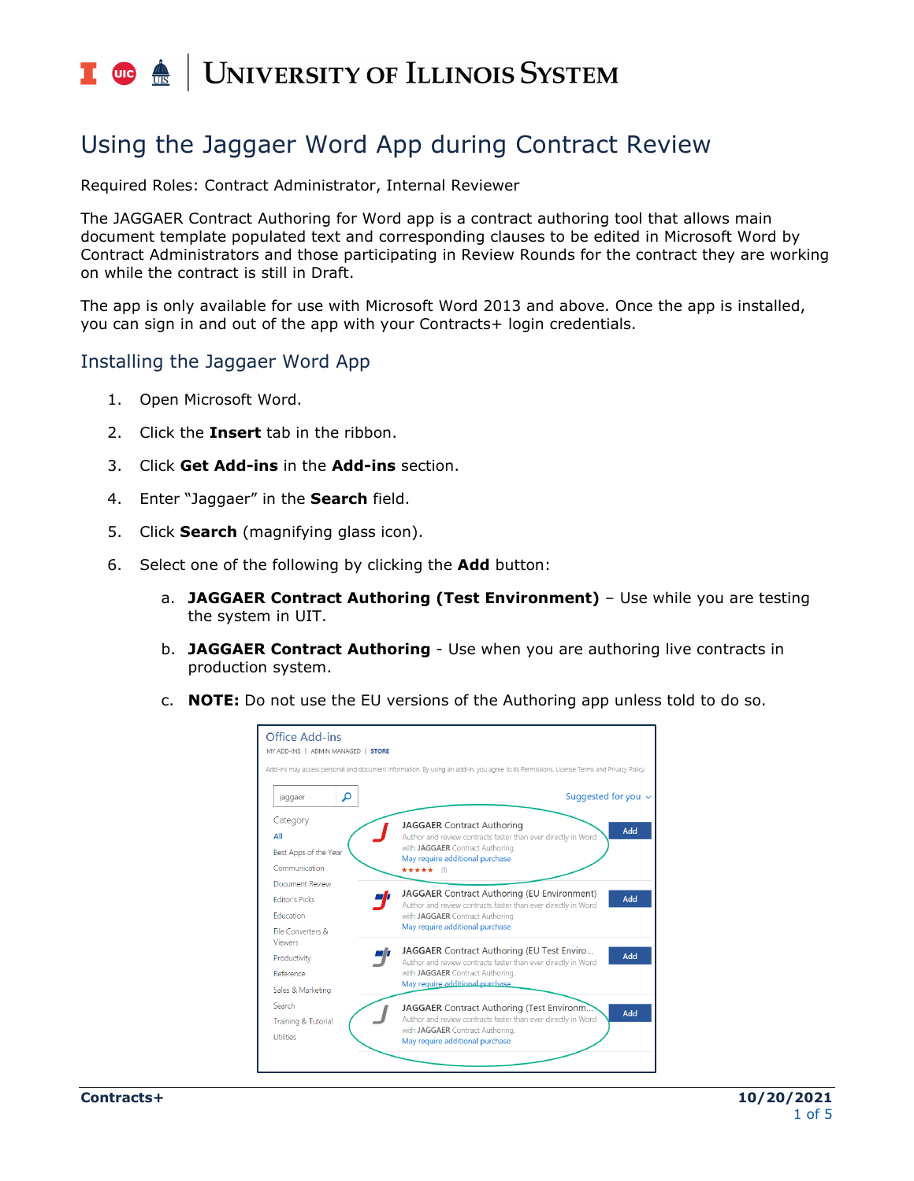### **UNIVERSITY OF ILLINOIS SYSTEM**  $\overline{C}$  or  $\overline{C}$

# Using the Jaggaer Word App during Contract Review

Required Roles: Contract Administrator, Internal Reviewer

The JAGGAER Contract Authoring for Word app is a contract authoring tool that allows main document template populated text and corresponding clauses to be edited in Microsoft Word by Contract Administrators and those participating in Review Rounds for the contract they are working on while the contract is still in Draft.

The app is only available for use with Microsoft Word 2013 and above. Once the app is installed, you can sign in and out of the app with your Contracts+ login credentials.

#### Installing the Jaggaer Word App

- 1. Open Microsoft Word.
- 2. Click the **Insert** tab in the ribbon.
- 3. Click **Get Add-ins** in the **Add-ins** section.
- 4. Enter "Jaggaer" in the **Search** field.
- 5. Click **Search** (magnifying glass icon).
- 6. Select one of the following by clicking the **Add** button:
	- a. **JAGGAER Contract Authoring (Test Environment)** Use while you are testing the system in UIT.
	- b. **JAGGAER Contract Authoring** Use when you are authoring live contracts in production system.
	- c. **NOTE:** Do not use the EU versions of the Authoring app unless told to do so.

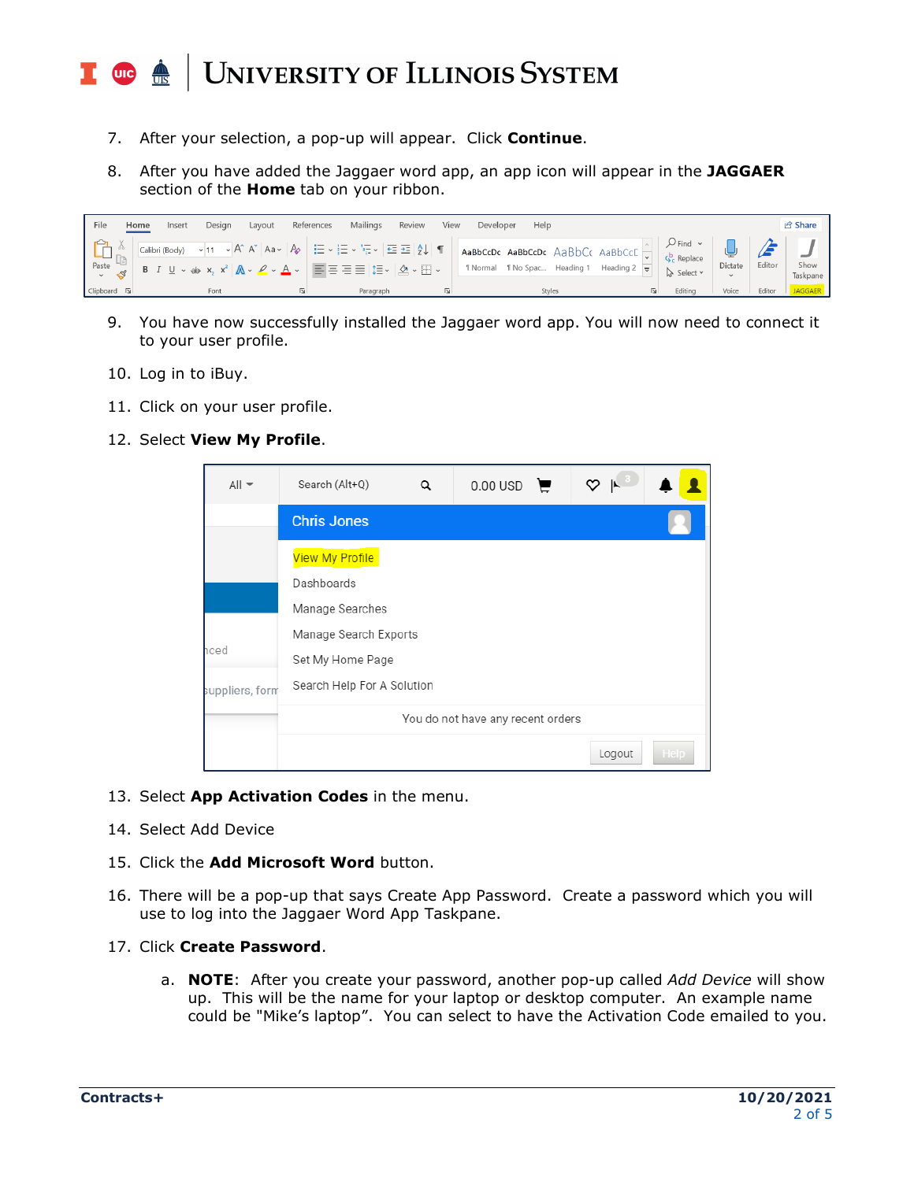#### **UNIVERSITY OF ILLINOIS SYSTEM**  $\frac{1}{\sqrt{10}}$  or  $\frac{1}{\sqrt{10}}$

- 7. After your selection, a pop-up will appear. Click **Continue**.
- 8. After you have added the Jaggaer word app, an app icon will appear in the **JAGGAER** section of the **Home** tab on your ribbon.

| File                                                                     | Desian<br>Layout<br>Insert<br>Home                                                                                                                                                                                                                                                                                                                                                                                                                                                                                                                                                        | References<br>Mailings | Review<br>View<br>Developer | Help                                                               |                            |         |        | <b>∆</b> Share   |
|--------------------------------------------------------------------------|-------------------------------------------------------------------------------------------------------------------------------------------------------------------------------------------------------------------------------------------------------------------------------------------------------------------------------------------------------------------------------------------------------------------------------------------------------------------------------------------------------------------------------------------------------------------------------------------|------------------------|-----------------------------|--------------------------------------------------------------------|----------------------------|---------|--------|------------------|
| $\begin{array}{c} \Box \ \Box \ \Box \ \Box \ \Box \ \Box \ \end{array}$ | $\sqrt{\frac{\text{Calibi(Body)}-\sqrt{11-\sqrt{11}}}{\frac{\sqrt{11}}{\sqrt{11}}}}$ A $\alpha$ A $\alpha$ A $\alpha$ A $\alpha$ A $\alpha$ A $\alpha$ A $\beta$ $\alpha$ $\alpha$ $\beta$ $\alpha$ $\beta$ $\alpha$ $\beta$ $\alpha$ $\beta$ $\alpha$ $\beta$ $\alpha$ $\beta$ $\alpha$ $\beta$ $\alpha$ $\beta$ $\alpha$ $\beta$ $\alpha$ $\beta$ $\alpha$ $\beta$ $\alpha$ $\beta$ $\alpha$<br><b>B</b> $I \subseteq \vee$ ab $\mathsf{x}_2$ $\mathsf{x}^2$ $ \mathbb{A} \vee \mathbb{C} \vee \mathbb{A} \vee  \equiv \equiv \equiv \equiv  \equiv \vee  \mathbb{A} \vee \equiv \vee $ |                        |                             | <b>T</b> Normal <b>T</b> No Spac Heading 1 Heading 2 $\frac{1}{2}$ | $\mathbb{R}$ Select $\sim$ | Dictate | Editor | Show<br>Taskpane |
| Clipboard [5]                                                            | Font                                                                                                                                                                                                                                                                                                                                                                                                                                                                                                                                                                                      | Paragraph              |                             | Styles                                                             | Editina                    | Voice   | Editor | <b>JAGGAER</b>   |

- 9. You have now successfully installed the Jaggaer word app. You will now need to connect it to your user profile.
- 10. Log in to iBuy.
- 11. Click on your user profile.
- 12. Select **View My Profile**.

| $All -$         | Search (Alt+Q)                                 | Q | $0.00 \text{ USD}$ |  | ♡<br>$\mathbb{R}$ |      |  |  |
|-----------------|------------------------------------------------|---|--------------------|--|-------------------|------|--|--|
|                 | <b>Chris Jones</b>                             |   |                    |  |                   |      |  |  |
|                 | <b>View My Profile</b>                         |   |                    |  |                   |      |  |  |
|                 | Dashboards<br>Manage Searches                  |   |                    |  |                   |      |  |  |
| าced            | Manage Search Exports                          |   |                    |  |                   |      |  |  |
| suppliers, form | Set My Home Page<br>Search Help For A Solution |   |                    |  |                   |      |  |  |
|                 | You do not have any recent orders              |   |                    |  |                   |      |  |  |
|                 |                                                |   |                    |  | Logout            | Help |  |  |

- 13. Select **App Activation Codes** in the menu.
- 14. Select Add Device
- 15. Click the **Add Microsoft Word** button.
- 16. There will be a pop-up that says Create App Password. Create a password which you will use to log into the Jaggaer Word App Taskpane.
- 17. Click **Create Password**.
	- a. **NOTE**: After you create your password, another pop-up called *Add Device* will show up. This will be the name for your laptop or desktop computer. An example name could be "Mike's laptop". You can select to have the Activation Code emailed to you.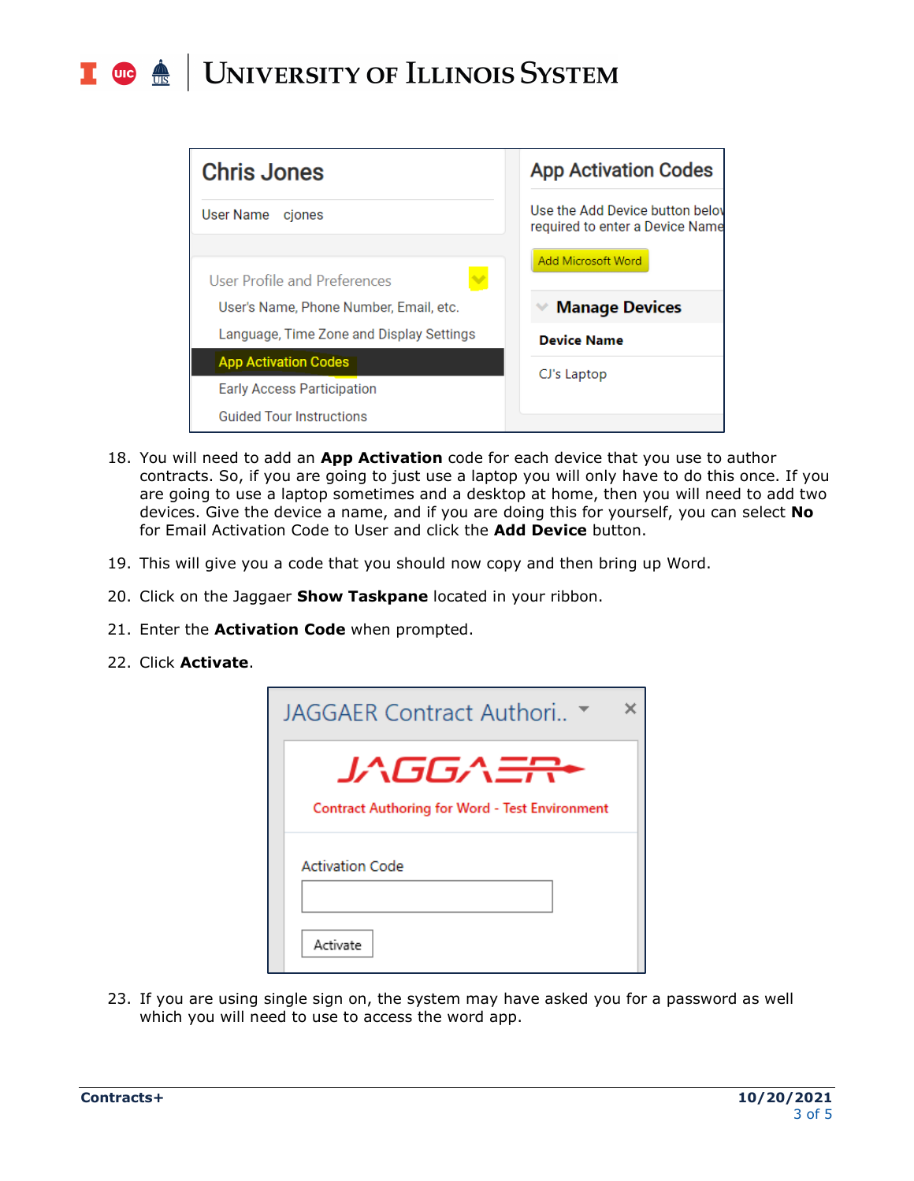#### **UNIVERSITY OF ILLINOIS SYSTEM**  $\blacksquare$  and  $\spadesuit$



- 18. You will need to add an **App Activation** code for each device that you use to author contracts. So, if you are going to just use a laptop you will only have to do this once. If you are going to use a laptop sometimes and a desktop at home, then you will need to add two devices. Give the device a name, and if you are doing this for yourself, you can select **No** for Email Activation Code to User and click the **Add Device** button.
- 19. This will give you a code that you should now copy and then bring up Word.
- 20. Click on the Jaggaer **Show Taskpane** located in your ribbon.
- 21. Enter the **Activation Code** when prompted.
- 22. Click **Activate**.

| JAGGAER Contract Authori                                                     |
|------------------------------------------------------------------------------|
| JAGGA <del>ER</del><br><b>Contract Authoring for Word - Test Environment</b> |
| <b>Activation Code</b>                                                       |
| Activate                                                                     |

23. If you are using single sign on, the system may have asked you for a password as well which you will need to use to access the word app.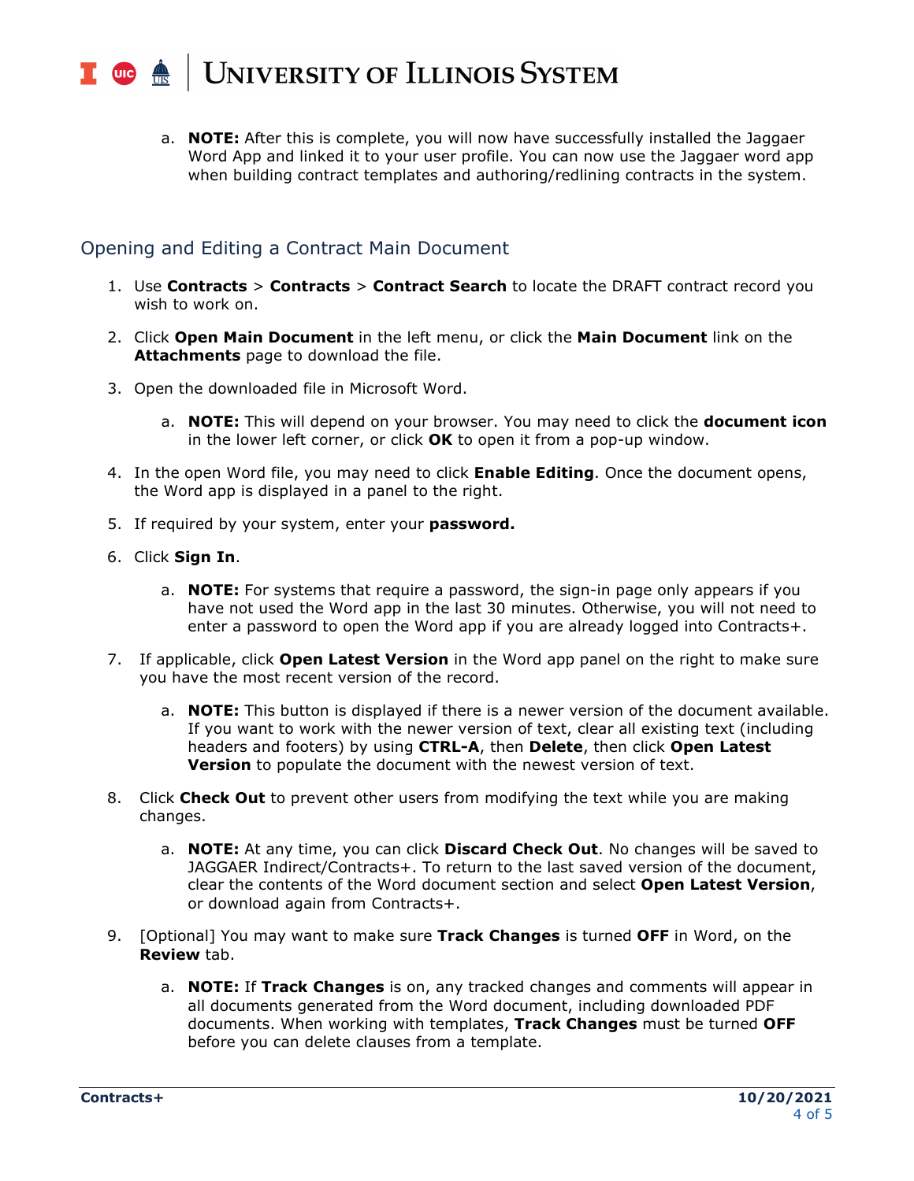#### UNIVERSITY OF ILLINOIS SYSTEM  $\blacksquare$  ore  $\spadesuit$

a. **NOTE:** After this is complete, you will now have successfully installed the Jaggaer Word App and linked it to your user profile. You can now use the Jaggaer word app when building contract templates and authoring/redlining contracts in the system.

## Opening and Editing a Contract Main Document

- 1. Use **Contracts** > **Contracts** > **Contract Search** to locate the DRAFT contract record you wish to work on.
- 2. Click **Open Main Document** in the left menu, or click the **Main Document** link on the **Attachments** page to download the file.
- 3. Open the downloaded file in Microsoft Word.
	- a. **NOTE:** This will depend on your browser. You may need to click the **document icon** in the lower left corner, or click **OK** to open it from a pop-up window.
- 4. In the open Word file, you may need to click **Enable Editing**. Once the document opens, the Word app is displayed in a panel to the right.
- 5. If required by your system, enter your **password.**
- 6. Click **Sign In**.
	- a. **NOTE:** For systems that require a password, the sign-in page only appears if you have not used the Word app in the last 30 minutes. Otherwise, you will not need to enter a password to open the Word app if you are already logged into Contracts+.
- 7. If applicable, click **Open Latest Version** in the Word app panel on the right to make sure you have the most recent version of the record.
	- a. **NOTE:** This button is displayed if there is a newer version of the document available. If you want to work with the newer version of text, clear all existing text (including headers and footers) by using **CTRL-A**, then **Delete**, then click **Open Latest Version** to populate the document with the newest version of text.
- 8. Click **Check Out** to prevent other users from modifying the text while you are making changes.
	- a. **NOTE:** At any time, you can click **Discard Check Out**. No changes will be saved to JAGGAER Indirect/Contracts+. To return to the last saved version of the document, clear the contents of the Word document section and select **Open Latest Version**, or download again from Contracts+.
- 9. [Optional] You may want to make sure **Track Changes** is turned **OFF** in Word, on the **Review** tab.
	- a. **NOTE:** If **Track Changes** is on, any tracked changes and comments will appear in all documents generated from the Word document, including downloaded PDF documents. When working with templates, **Track Changes** must be turned **OFF** before you can delete clauses from a template.